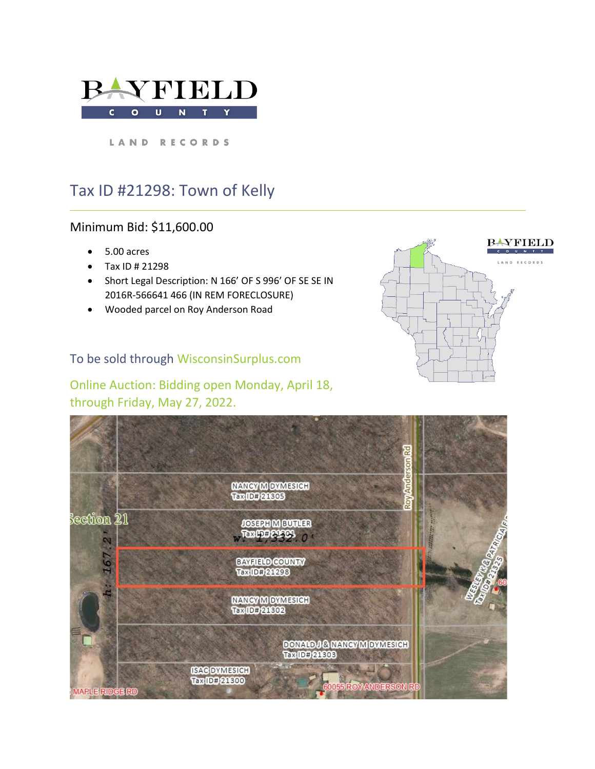

LAND RECORDS

# Tax ID #21298: Town of Kelly

# Minimum Bid: \$11,600.00

- 5.00 acres
- Tax ID # 21298
- Short Legal Description: N 166' OF S 996' OF SE SE IN 2016R-566641 466 (IN REM FORECLOSURE)
- Wooded parcel on Roy Anderson Road

### To be sold through WisconsinSurplus.com

Online Auction: Bidding open Monday, April 18, through Friday, May 27, 2022.



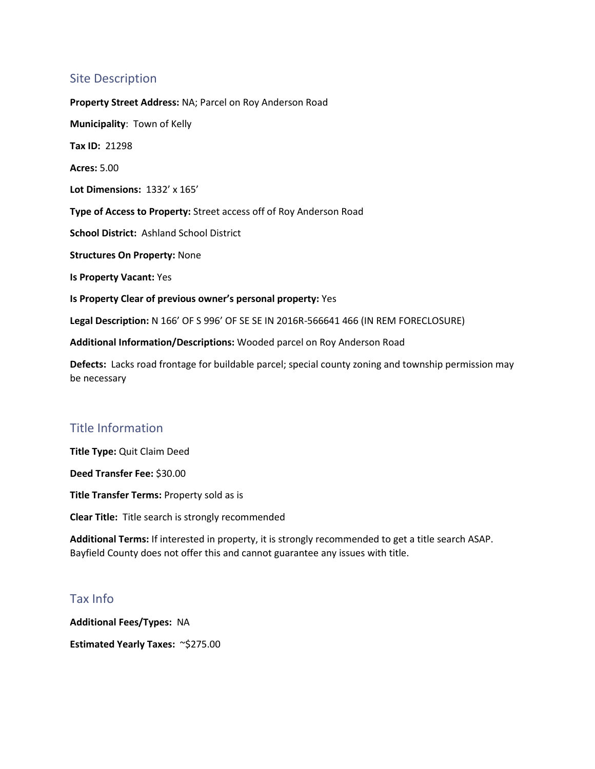### Site Description

**Property Street Address:** NA; Parcel on Roy Anderson Road **Municipality**: Town of Kelly **Tax ID:** 21298 **Acres:** 5.00 **Lot Dimensions:** 1332' x 165' **Type of Access to Property:** Street access off of Roy Anderson Road **School District:** Ashland School District **Structures On Property:** None **Is Property Vacant:** Yes **Is Property Clear of previous owner's personal property:** Yes **Legal Description:** N 166' OF S 996' OF SE SE IN 2016R-566641 466 (IN REM FORECLOSURE) **Additional Information/Descriptions:** Wooded parcel on Roy Anderson Road

**Defects:** Lacks road frontage for buildable parcel; special county zoning and township permission may be necessary

# Title Information

**Title Type:** Quit Claim Deed

**Deed Transfer Fee:** \$30.00

**Title Transfer Terms:** Property sold as is

**Clear Title:** Title search is strongly recommended

**Additional Terms:** If interested in property, it is strongly recommended to get a title search ASAP. Bayfield County does not offer this and cannot guarantee any issues with title.

#### Tax Info

**Additional Fees/Types:** NA **Estimated Yearly Taxes:** ~\$275.00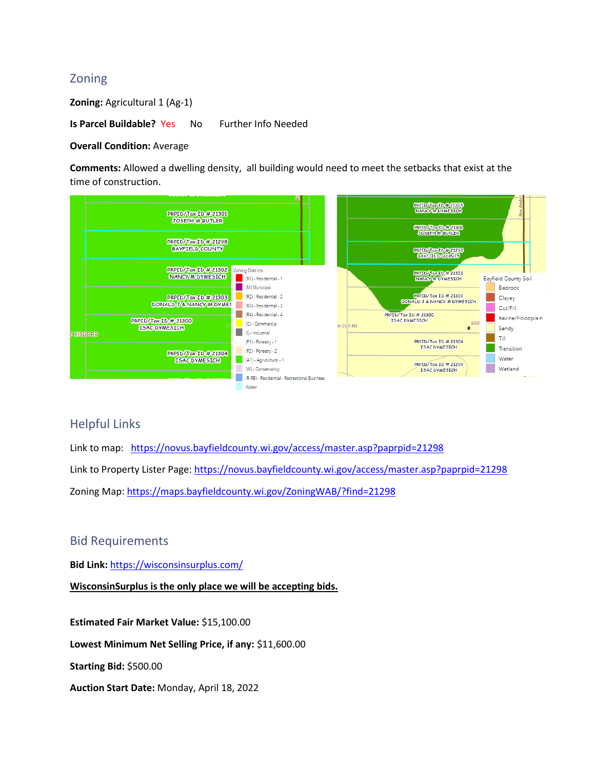# Zoning

**Zoning: Agricultural 1 (Ag-1)** 

**Is Parcel Buildable?** Yes No Further Info Needed

#### **Overall Condition:** Average

**Comments:** Allowed a dwelling density, all building would need to meet the setbacks that exist at the time of construction.



#### Helpful Links

Link to map: <https://novus.bayfieldcounty.wi.gov/access/master.asp?paprpid=21298> Link to Property Lister Page:<https://novus.bayfieldcounty.wi.gov/access/master.asp?paprpid=21298> Zoning Map: <https://maps.bayfieldcounty.wi.gov/ZoningWAB/?find=21298>

#### Bid Requirements

**Bid Link:** <https://wisconsinsurplus.com/>

**WisconsinSurplus is the only place we will be accepting bids.** 

**Estimated Fair Market Value:** \$15,100.00

**Lowest Minimum Net Selling Price, if any:** \$11,600.00

**Starting Bid:** \$500.00

**Auction Start Date:** Monday, April 18, 2022